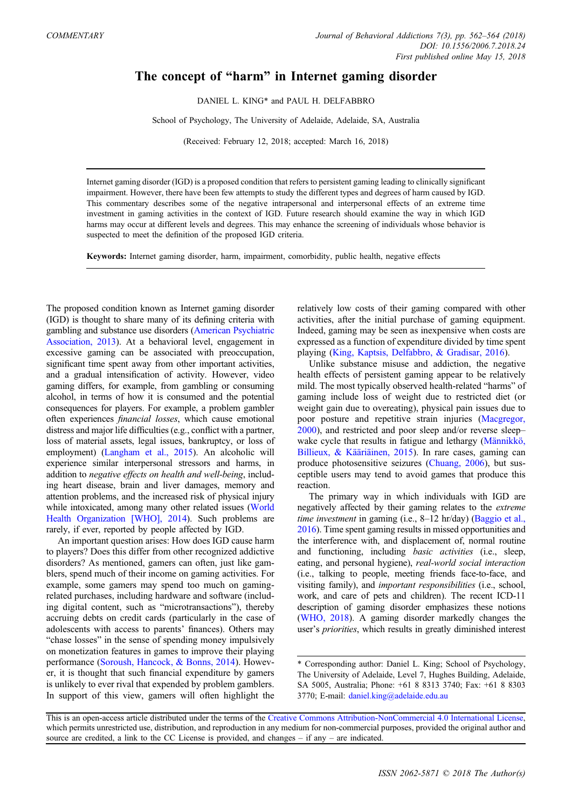## The concept of "harm" in Internet gaming disorder

DANIEL L. KING\* and PAUL H. DELFABBRO

School of Psychology, The University of Adelaide, Adelaide, SA, Australia

(Received: February 12, 2018; accepted: March 16, 2018)

Internet gaming disorder (IGD) is a proposed condition that refers to persistent gaming leading to clinically significant impairment. However, there have been few attempts to study the different types and degrees of harm caused by IGD. This commentary describes some of the negative intrapersonal and interpersonal effects of an extreme time investment in gaming activities in the context of IGD. Future research should examine the way in which IGD harms may occur at different levels and degrees. This may enhance the screening of individuals whose behavior is suspected to meet the definition of the proposed IGD criteria.

Keywords: Internet gaming disorder, harm, impairment, comorbidity, public health, negative effects

The proposed condition known as Internet gaming disorder (IGD) is thought to share many of its defining criteria with gambling and substance use disorders (American Psychiatric Association, 2013). At a behavioral level, engagement in excessive gaming can be associated with preoccupation, significant time spent away from other important activities, and a gradual intensification of activity. However, video gaming differs, for example, from gambling or consuming alcohol, in terms of how it is consumed and the potential consequences for players. For example, a problem gambler often experiences financial losses, which cause emotional distress and major life difficulties (e.g., conflict with a partner, loss of material assets, legal issues, bankruptcy, or loss of employment) (Langham et al., 2015). An alcoholic will experience similar interpersonal stressors and harms, in addition to negative effects on health and well-being, including heart disease, brain and liver damages, memory and attention problems, and the increased risk of physical injury while intoxicated, among many other related issues (World Health Organization [WHO], 2014). Such problems are rarely, if ever, reported by people affected by IGD.

An important question arises: How does IGD cause harm to players? Does this differ from other recognized addictive disorders? As mentioned, gamers can often, just like gamblers, spend much of their income on gaming activities. For example, some gamers may spend too much on gamingrelated purchases, including hardware and software (including digital content, such as "microtransactions"), thereby accruing debts on credit cards (particularly in the case of adolescents with access to parents' finances). Others may "chase losses" in the sense of spending money impulsively on monetization features in games to improve their playing performance (Soroush, Hancock, & Bonns, 2014). However, it is thought that such financial expenditure by gamers is unlikely to ever rival that expended by problem gamblers. In support of this view, gamers will often highlight the

relatively low costs of their gaming compared with other activities, after the initial purchase of gaming equipment. Indeed, gaming may be seen as inexpensive when costs are expressed as a function of expenditure divided by time spent playing (King, Kaptsis, Delfabbro, & Gradisar, 2016).

Unlike substance misuse and addiction, the negative health effects of persistent gaming appear to be relatively mild. The most typically observed health-related "harms" of gaming include loss of weight due to restricted diet (or weight gain due to overeating), physical pain issues due to poor posture and repetitive strain injuries (Macgregor, 2000), and restricted and poor sleep and/or reverse sleep– wake cycle that results in fatigue and lethargy (Männikkö, Billieux, & Kääriäinen, 2015). In rare cases, gaming can produce photosensitive seizures (Chuang, 2006), but susceptible users may tend to avoid games that produce this reaction.

The primary way in which individuals with IGD are negatively affected by their gaming relates to the extreme time investment in gaming (i.e., 8-12 hr/day) (Baggio et al., 2016). Time spent gaming results in missed opportunities and the interference with, and displacement of, normal routine and functioning, including basic activities (i.e., sleep, eating, and personal hygiene), real-world social interaction (i.e., talking to people, meeting friends face-to-face, and visiting family), and important responsibilities (i.e., school, work, and care of pets and children). The recent ICD-11 description of gaming disorder emphasizes these notions (WHO, 2018). A gaming disorder markedly changes the user's priorities, which results in greatly diminished interest

<sup>\*</sup> Corresponding author: Daniel L. King; School of Psychology, The University of Adelaide, Level 7, Hughes Building, Adelaide, SA 5005, Australia; Phone: +61 8 8313 3740; Fax: +61 8 8303 3770; E-mail: [daniel.king@adelaide.edu.au](mailto:daniel.king@adelaide.edu.au)

This is an open-access article distributed under the terms of the [Creative Commons Attribution-NonCommercial 4.0 International License,](http://creativecommons.org/licenses/by-nc/4.0/) which permits unrestricted use, distribution, and reproduction in any medium for non-commercial purposes, provided the original author and source are credited, a link to the CC License is provided, and changes  $-$  if any  $-$  are indicated.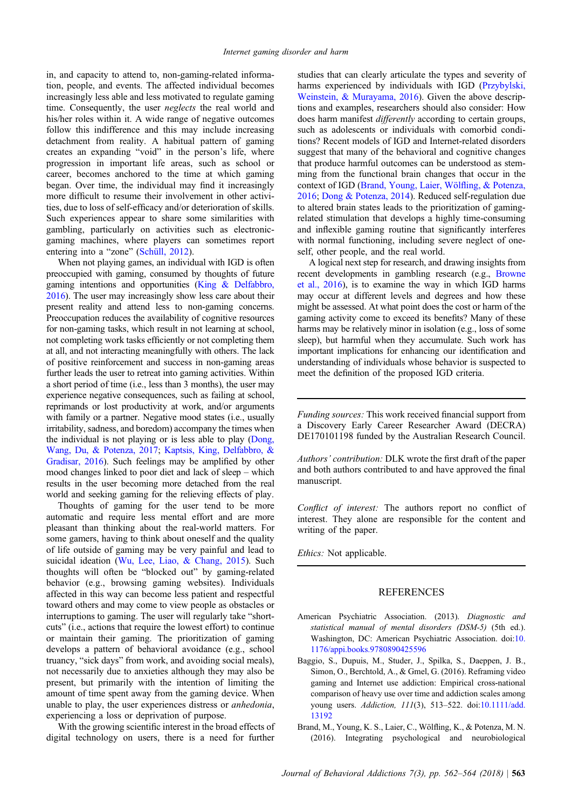in, and capacity to attend to, non-gaming-related information, people, and events. The affected individual becomes increasingly less able and less motivated to regulate gaming time. Consequently, the user *neglects* the real world and his/her roles within it. A wide range of negative outcomes follow this indifference and this may include increasing detachment from reality. A habitual pattern of gaming creates an expanding "void" in the person's life, where progression in important life areas, such as school or career, becomes anchored to the time at which gaming began. Over time, the individual may find it increasingly more difficult to resume their involvement in other activities, due to loss of self-efficacy and/or deterioration of skills. Such experiences appear to share some similarities with gambling, particularly on activities such as electronicgaming machines, where players can sometimes report entering into a "zone" (Schüll, 2012).

When not playing games, an individual with IGD is often preoccupied with gaming, consumed by thoughts of future gaming intentions and opportunities (King & Delfabbro, 2016). The user may increasingly show less care about their present reality and attend less to non-gaming concerns. Preoccupation reduces the availability of cognitive resources for non-gaming tasks, which result in not learning at school, not completing work tasks efficiently or not completing them at all, and not interacting meaningfully with others. The lack of positive reinforcement and success in non-gaming areas further leads the user to retreat into gaming activities. Within a short period of time (i.e., less than 3 months), the user may experience negative consequences, such as failing at school, reprimands or lost productivity at work, and/or arguments with family or a partner. Negative mood states (i.e., usually irritability, sadness, and boredom) accompany the times when the individual is not playing or is less able to play (Dong, Wang, Du, & Potenza, 2017; Kaptsis, King, Delfabbro, & Gradisar, 2016). Such feelings may be amplified by other mood changes linked to poor diet and lack of sleep – which results in the user becoming more detached from the real world and seeking gaming for the relieving effects of play.

Thoughts of gaming for the user tend to be more automatic and require less mental effort and are more pleasant than thinking about the real-world matters. For some gamers, having to think about oneself and the quality of life outside of gaming may be very painful and lead to suicidal ideation (Wu, Lee, Liao, & Chang, 2015). Such thoughts will often be "blocked out" by gaming-related behavior (e.g., browsing gaming websites). Individuals affected in this way can become less patient and respectful toward others and may come to view people as obstacles or interruptions to gaming. The user will regularly take "shortcuts" (i.e., actions that require the lowest effort) to continue or maintain their gaming. The prioritization of gaming develops a pattern of behavioral avoidance (e.g., school truancy, "sick days" from work, and avoiding social meals), not necessarily due to anxieties although they may also be present, but primarily with the intention of limiting the amount of time spent away from the gaming device. When unable to play, the user experiences distress or anhedonia, experiencing a loss or deprivation of purpose.

With the growing scientific interest in the broad effects of digital technology on users, there is a need for further

studies that can clearly articulate the types and severity of harms experienced by individuals with IGD (Przybylski, Weinstein, & Murayama, 2016). Given the above descriptions and examples, researchers should also consider: How does harm manifest *differently* according to certain groups, such as adolescents or individuals with comorbid conditions? Recent models of IGD and Internet-related disorders suggest that many of the behavioral and cognitive changes that produce harmful outcomes can be understood as stemming from the functional brain changes that occur in the context of IGD (Brand, Young, Laier, Wölfling, & Potenza, 2016; Dong & Potenza, 2014). Reduced self-regulation due to altered brain states leads to the prioritization of gamingrelated stimulation that develops a highly time-consuming and inflexible gaming routine that significantly interferes with normal functioning, including severe neglect of oneself, other people, and the real world.

A logical next step for research, and drawing insights from recent developments in gambling research (e.g., Browne et al., 2016), is to examine the way in which IGD harms may occur at different levels and degrees and how these might be assessed. At what point does the cost or harm of the gaming activity come to exceed its benefits? Many of these harms may be relatively minor in isolation (e.g., loss of some sleep), but harmful when they accumulate. Such work has important implications for enhancing our identification and understanding of individuals whose behavior is suspected to meet the definition of the proposed IGD criteria.

Funding sources: This work received financial support from a Discovery Early Career Researcher Award (DECRA) DE170101198 funded by the Australian Research Council.

Authors' contribution: DLK wrote the first draft of the paper and both authors contributed to and have approved the final manuscript.

Conflict of interest: The authors report no conflict of interest. They alone are responsible for the content and writing of the paper.

Ethics: Not applicable.

## REFERENCES

- American Psychiatric Association. (2013). Diagnostic and statistical manual of mental disorders (DSM-5) (5th ed.). Washington, DC: American Psychiatric Association. doi:[10.](http://dx.doi.org/10.1176/appi.books.9780890425596) [1176/appi.books.9780890425596](http://dx.doi.org/10.1176/appi.books.9780890425596)
- Baggio, S., Dupuis, M., Studer, J., Spilka, S., Daeppen, J. B., Simon, O., Berchtold, A., & Gmel, G. (2016). Reframing video gaming and Internet use addiction: Empirical cross-national comparison of heavy use over time and addiction scales among young users. Addiction, 111(3), 513–522. doi[:10.1111/add.](http://dx.doi.org/10.1111/add.13192) [13192](http://dx.doi.org/10.1111/add.13192)
- Brand, M., Young, K. S., Laier, C., Wölfling, K., & Potenza, M. N. (2016). Integrating psychological and neurobiological